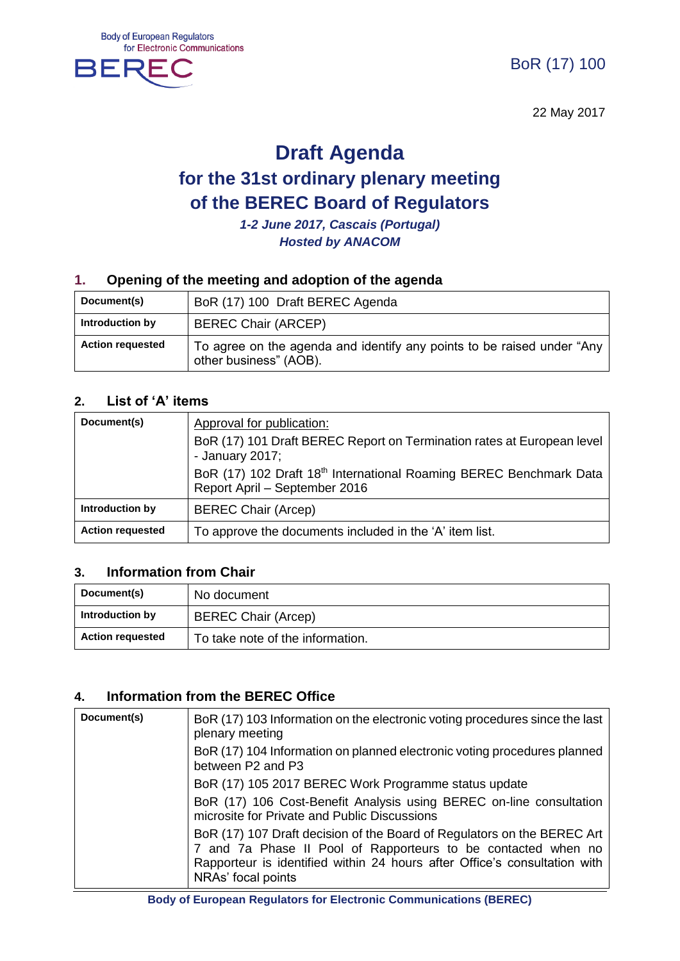

BoR (17) 100

22 May 2017

# **Draft Agenda for the 31st ordinary plenary meeting of the BEREC Board of Regulators**

*1-2 June 2017, Cascais (Portugal) Hosted by ANACOM*

# **1. Opening of the meeting and adoption of the agenda**

| Document(s)             | BoR (17) 100 Draft BEREC Agenda                                                                  |
|-------------------------|--------------------------------------------------------------------------------------------------|
| Introduction by         | <b>BEREC Chair (ARCEP)</b>                                                                       |
| <b>Action requested</b> | To agree on the agenda and identify any points to be raised under "Any<br>other business" (AOB). |

# **2. List of 'A' items**

| Document(s)             | Approval for publication:<br>BoR (17) 101 Draft BEREC Report on Termination rates at European level<br>- January 2017;<br>BoR (17) 102 Draft 18th International Roaming BEREC Benchmark Data<br>Report April - September 2016 |
|-------------------------|-------------------------------------------------------------------------------------------------------------------------------------------------------------------------------------------------------------------------------|
| Introduction by         | <b>BEREC Chair (Arcep)</b>                                                                                                                                                                                                    |
| <b>Action requested</b> | To approve the documents included in the 'A' item list.                                                                                                                                                                       |

## **3. Information from Chair**

| Document(s)             | No document                      |
|-------------------------|----------------------------------|
| Introduction by         | <b>BEREC Chair (Arcep)</b>       |
| <b>Action requested</b> | To take note of the information. |

# **4. Information from the BEREC Office**

| Document(s) | BoR (17) 103 Information on the electronic voting procedures since the last<br>plenary meeting                                                                                                                                              |
|-------------|---------------------------------------------------------------------------------------------------------------------------------------------------------------------------------------------------------------------------------------------|
|             | BoR (17) 104 Information on planned electronic voting procedures planned<br>between P2 and P3                                                                                                                                               |
|             | BoR (17) 105 2017 BEREC Work Programme status update                                                                                                                                                                                        |
|             | BoR (17) 106 Cost-Benefit Analysis using BEREC on-line consultation<br>microsite for Private and Public Discussions                                                                                                                         |
|             | BoR (17) 107 Draft decision of the Board of Regulators on the BEREC Art<br>7 and 7a Phase II Pool of Rapporteurs to be contacted when no<br>Rapporteur is identified within 24 hours after Office's consultation with<br>NRAs' focal points |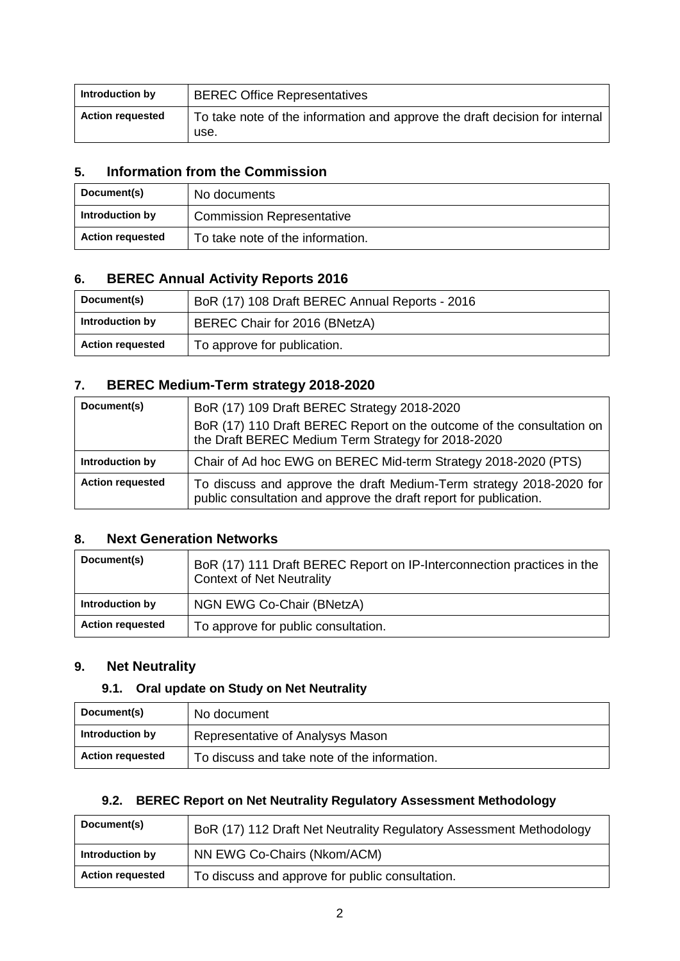| <b>Introduction by</b>  | <b>BEREC Office Representatives</b>                                                 |
|-------------------------|-------------------------------------------------------------------------------------|
| <b>Action requested</b> | To take note of the information and approve the draft decision for internal<br>use. |

# **5. Information from the Commission**

| Document(s)             | No documents                     |
|-------------------------|----------------------------------|
| Introduction by         | <b>Commission Representative</b> |
| <b>Action requested</b> | To take note of the information. |

# **6. BEREC Annual Activity Reports 2016**

| Document(s)             | BoR (17) 108 Draft BEREC Annual Reports - 2016 |
|-------------------------|------------------------------------------------|
| Introduction by         | BEREC Chair for 2016 (BNetzA)                  |
| <b>Action requested</b> | To approve for publication.                    |

# **7. BEREC Medium-Term strategy 2018-2020**

| Document(s)             | BoR (17) 109 Draft BEREC Strategy 2018-2020                                                                                              |
|-------------------------|------------------------------------------------------------------------------------------------------------------------------------------|
|                         | BoR (17) 110 Draft BEREC Report on the outcome of the consultation on<br>the Draft BEREC Medium Term Strategy for 2018-2020              |
| Introduction by         | Chair of Ad hoc EWG on BEREC Mid-term Strategy 2018-2020 (PTS)                                                                           |
| <b>Action requested</b> | To discuss and approve the draft Medium-Term strategy 2018-2020 for<br>public consultation and approve the draft report for publication. |

## **8. Next Generation Networks**

| Document(s)             | BoR (17) 111 Draft BEREC Report on IP-Interconnection practices in the<br><b>Context of Net Neutrality</b> |
|-------------------------|------------------------------------------------------------------------------------------------------------|
| Introduction by         | NGN EWG Co-Chair (BNetzA)                                                                                  |
| <b>Action requested</b> | To approve for public consultation.                                                                        |

# **9. Net Neutrality**

# **9.1. Oral update on Study on Net Neutrality**

| Document(s)             | No document                                  |
|-------------------------|----------------------------------------------|
| Introduction by         | Representative of Analysys Mason             |
| <b>Action requested</b> | To discuss and take note of the information. |

# **9.2. BEREC Report on Net Neutrality Regulatory Assessment Methodology**

| Document(s)             | BoR (17) 112 Draft Net Neutrality Regulatory Assessment Methodology |
|-------------------------|---------------------------------------------------------------------|
| Introduction by         | NN EWG Co-Chairs (Nkom/ACM)                                         |
| <b>Action requested</b> | To discuss and approve for public consultation.                     |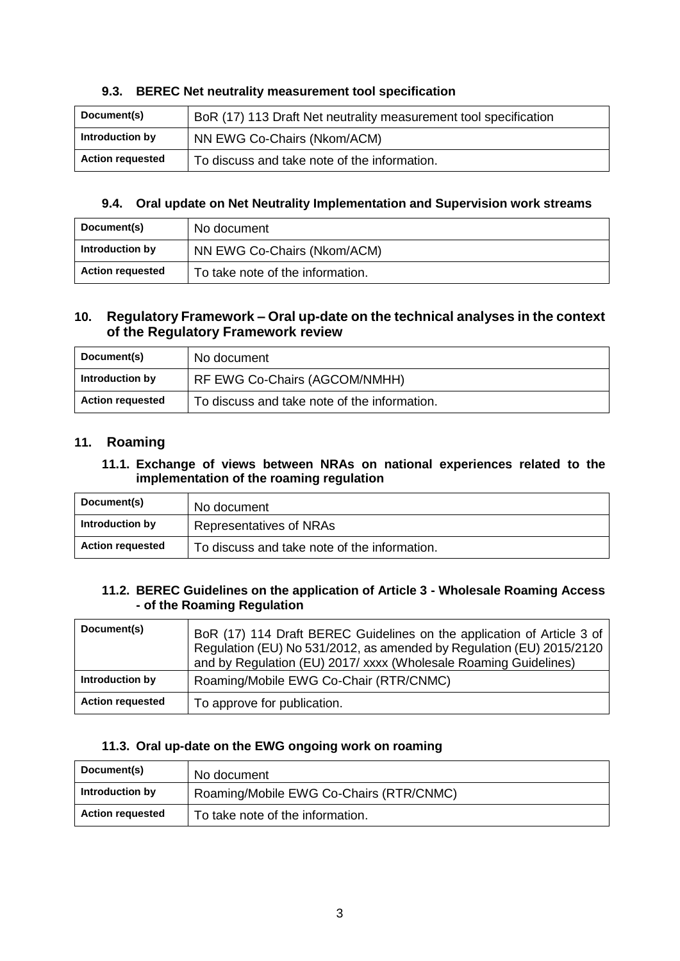#### **9.3. BEREC Net neutrality measurement tool specification**

| Document(s)             | BoR (17) 113 Draft Net neutrality measurement tool specification |
|-------------------------|------------------------------------------------------------------|
| Introduction by         | NN EWG Co-Chairs (Nkom/ACM)                                      |
| <b>Action requested</b> | To discuss and take note of the information.                     |

#### **9.4. Oral update on Net Neutrality Implementation and Supervision work streams**

| Document(s)             | No document                      |
|-------------------------|----------------------------------|
| Introduction by         | NN EWG Co-Chairs (Nkom/ACM)      |
| <b>Action requested</b> | To take note of the information. |

## **10. Regulatory Framework – Oral up-date on the technical analyses in the context of the Regulatory Framework review**

| Document(s)             | No document                                  |
|-------------------------|----------------------------------------------|
| Introduction by         | RF EWG Co-Chairs (AGCOM/NMHH)                |
| <b>Action requested</b> | To discuss and take note of the information. |

#### **11. Roaming**

#### **11.1. Exchange of views between NRAs on national experiences related to the implementation of the roaming regulation**

| Document(s)             | No document                                  |
|-------------------------|----------------------------------------------|
| Introduction by         | Representatives of NRAs                      |
| <b>Action requested</b> | To discuss and take note of the information. |

#### **11.2. BEREC Guidelines on the application of Article 3 - Wholesale Roaming Access - of the Roaming Regulation**

| Document(s)             | BoR (17) 114 Draft BEREC Guidelines on the application of Article 3 of<br>Regulation (EU) No 531/2012, as amended by Regulation (EU) 2015/2120<br>and by Regulation (EU) 2017/ xxxx (Wholesale Roaming Guidelines) |
|-------------------------|--------------------------------------------------------------------------------------------------------------------------------------------------------------------------------------------------------------------|
| Introduction by         | Roaming/Mobile EWG Co-Chair (RTR/CNMC)                                                                                                                                                                             |
| <b>Action requested</b> | To approve for publication.                                                                                                                                                                                        |

## **11.3. Oral up-date on the EWG ongoing work on roaming**

| Document(s)             | No document                             |
|-------------------------|-----------------------------------------|
| Introduction by         | Roaming/Mobile EWG Co-Chairs (RTR/CNMC) |
| <b>Action requested</b> | To take note of the information.        |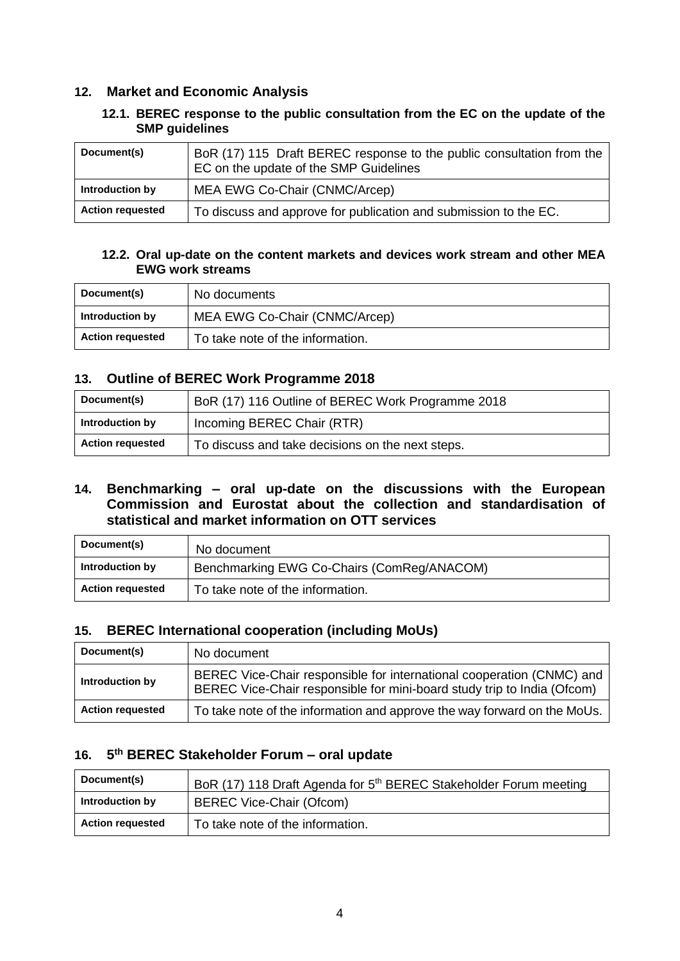# **12. Market and Economic Analysis**

## **12.1. BEREC response to the public consultation from the EC on the update of the SMP guidelines**

| Document(s)             | BoR (17) 115 Draft BEREC response to the public consultation from the<br>EC on the update of the SMP Guidelines |
|-------------------------|-----------------------------------------------------------------------------------------------------------------|
| Introduction by         | MEA EWG Co-Chair (CNMC/Arcep)                                                                                   |
| <b>Action requested</b> | To discuss and approve for publication and submission to the EC.                                                |

#### **12.2. Oral up-date on the content markets and devices work stream and other MEA EWG work streams**

| Document(s)             | No documents                     |
|-------------------------|----------------------------------|
| Introduction by         | MEA EWG Co-Chair (CNMC/Arcep)    |
| <b>Action requested</b> | To take note of the information. |

#### **13. Outline of BEREC Work Programme 2018**

| Document(s)             | BoR (17) 116 Outline of BEREC Work Programme 2018 |
|-------------------------|---------------------------------------------------|
| Introduction by         | Incoming BEREC Chair (RTR)                        |
| <b>Action requested</b> | To discuss and take decisions on the next steps.  |

## **14. Benchmarking – oral up-date on the discussions with the European Commission and Eurostat about the collection and standardisation of statistical and market information on OTT services**

| Document(s)             | No document                                |
|-------------------------|--------------------------------------------|
| Introduction by         | Benchmarking EWG Co-Chairs (ComReg/ANACOM) |
| <b>Action requested</b> | To take note of the information.           |

## **15. BEREC International cooperation (including MoUs)**

| Document(s)             | No document                                                                                                                                      |
|-------------------------|--------------------------------------------------------------------------------------------------------------------------------------------------|
| Introduction by         | BEREC Vice-Chair responsible for international cooperation (CNMC) and<br>BEREC Vice-Chair responsible for mini-board study trip to India (Ofcom) |
| <b>Action requested</b> | To take note of the information and approve the way forward on the MoUs.                                                                         |

## **16. 5 th BEREC Stakeholder Forum – oral update**

| Document(s)             | BoR (17) 118 Draft Agenda for 5 <sup>th</sup> BEREC Stakeholder Forum meeting |
|-------------------------|-------------------------------------------------------------------------------|
| Introduction by         | BEREC Vice-Chair (Ofcom)                                                      |
| <b>Action requested</b> | To take note of the information.                                              |